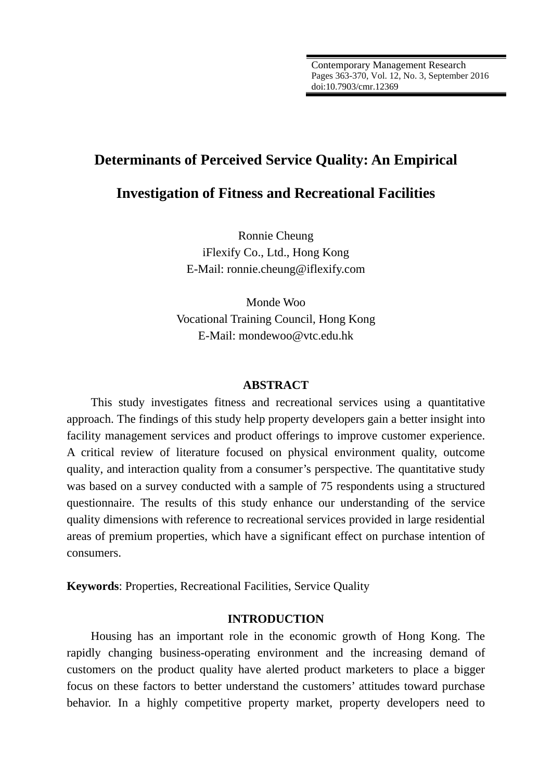# **Determinants of Perceived Service Quality: An Empirical**

# **Investigation of Fitness and Recreational Facilities**

Ronnie Cheung iFlexify Co., Ltd., Hong Kong E-Mail: ronnie.cheung@iflexify.com

Monde Woo Vocational Training Council, Hong Kong E-Mail: mondewoo@vtc.edu.hk

### **ABSTRACT**

This study investigates fitness and recreational services using a quantitative approach. The findings of this study help property developers gain a better insight into facility management services and product offerings to improve customer experience. A critical review of literature focused on physical environment quality, outcome quality, and interaction quality from a consumer's perspective. The quantitative study was based on a survey conducted with a sample of 75 respondents using a structured questionnaire. The results of this study enhance our understanding of the service quality dimensions with reference to recreational services provided in large residential areas of premium properties, which have a significant effect on purchase intention of consumers.

**Keywords**: Properties, Recreational Facilities, Service Quality

## **INTRODUCTION**

Housing has an important role in the economic growth of Hong Kong. The rapidly changing business-operating environment and the increasing demand of customers on the product quality have alerted product marketers to place a bigger focus on these factors to better understand the customers' attitudes toward purchase behavior. In a highly competitive property market, property developers need to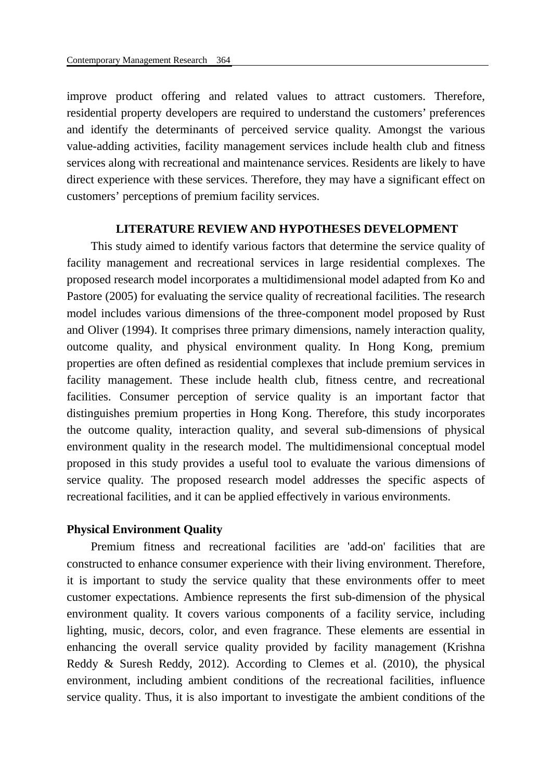improve product offering and related values to attract customers. Therefore, residential property developers are required to understand the customers' preferences and identify the determinants of perceived service quality. Amongst the various value-adding activities, facility management services include health club and fitness services along with recreational and maintenance services. Residents are likely to have direct experience with these services. Therefore, they may have a significant effect on customers' perceptions of premium facility services.

## **LITERATURE REVIEW AND HYPOTHESES DEVELOPMENT**

This study aimed to identify various factors that determine the service quality of facility management and recreational services in large residential complexes. The proposed research model incorporates a multidimensional model adapted from Ko and Pastore (2005) for evaluating the service quality of recreational facilities. The research model includes various dimensions of the three-component model proposed by Rust and Oliver (1994). It comprises three primary dimensions, namely interaction quality, outcome quality, and physical environment quality. In Hong Kong, premium properties are often defined as residential complexes that include premium services in facility management. These include health club, fitness centre, and recreational facilities. Consumer perception of service quality is an important factor that distinguishes premium properties in Hong Kong. Therefore, this study incorporates the outcome quality, interaction quality, and several sub-dimensions of physical environment quality in the research model. The multidimensional conceptual model proposed in this study provides a useful tool to evaluate the various dimensions of service quality. The proposed research model addresses the specific aspects of recreational facilities, and it can be applied effectively in various environments.

### **Physical Environment Quality**

Premium fitness and recreational facilities are 'add-on' facilities that are constructed to enhance consumer experience with their living environment. Therefore, it is important to study the service quality that these environments offer to meet customer expectations. Ambience represents the first sub-dimension of the physical environment quality. It covers various components of a facility service, including lighting, music, decors, color, and even fragrance. These elements are essential in enhancing the overall service quality provided by facility management (Krishna Reddy & Suresh Reddy, 2012). According to Clemes et al. (2010), the physical environment, including ambient conditions of the recreational facilities, influence service quality. Thus, it is also important to investigate the ambient conditions of the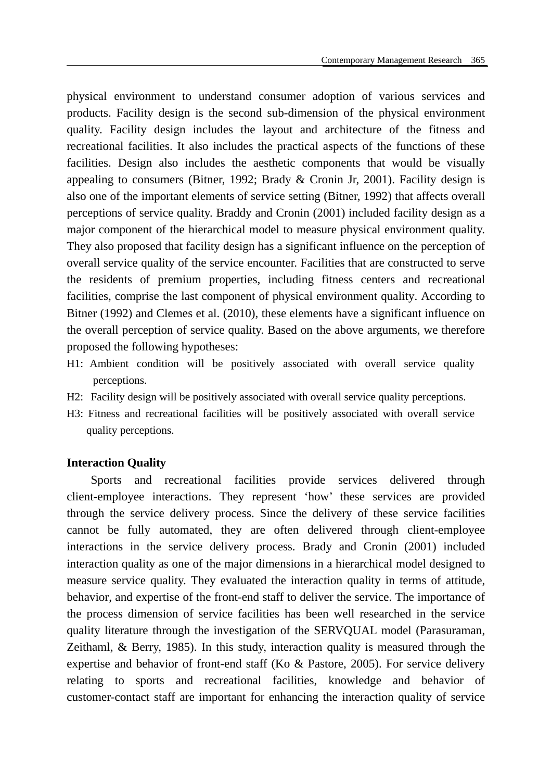physical environment to understand consumer adoption of various services and products. Facility design is the second sub-dimension of the physical environment quality. Facility design includes the layout and architecture of the fitness and recreational facilities. It also includes the practical aspects of the functions of these facilities. Design also includes the aesthetic components that would be visually appealing to consumers (Bitner, 1992; Brady & Cronin Jr, 2001). Facility design is also one of the important elements of service setting (Bitner, 1992) that affects overall perceptions of service quality. Braddy and Cronin (2001) included facility design as a major component of the hierarchical model to measure physical environment quality. They also proposed that facility design has a significant influence on the perception of overall service quality of the service encounter. Facilities that are constructed to serve the residents of premium properties, including fitness centers and recreational facilities, comprise the last component of physical environment quality. According to Bitner (1992) and Clemes et al. (2010), these elements have a significant influence on the overall perception of service quality. Based on the above arguments, we therefore proposed the following hypotheses:

- H1: Ambient condition will be positively associated with overall service quality perceptions.
- H2: Facility design will be positively associated with overall service quality perceptions.
- H3: Fitness and recreational facilities will be positively associated with overall service quality perceptions.

## **Interaction Quality**

Sports and recreational facilities provide services delivered through client-employee interactions. They represent 'how' these services are provided through the service delivery process. Since the delivery of these service facilities cannot be fully automated, they are often delivered through client-employee interactions in the service delivery process. Brady and Cronin (2001) included interaction quality as one of the major dimensions in a hierarchical model designed to measure service quality. They evaluated the interaction quality in terms of attitude, behavior, and expertise of the front-end staff to deliver the service. The importance of the process dimension of service facilities has been well researched in the service quality literature through the investigation of the SERVQUAL model (Parasuraman, Zeithaml, & Berry, 1985). In this study, interaction quality is measured through the expertise and behavior of front-end staff (Ko & Pastore, 2005). For service delivery relating to sports and recreational facilities, knowledge and behavior of customer-contact staff are important for enhancing the interaction quality of service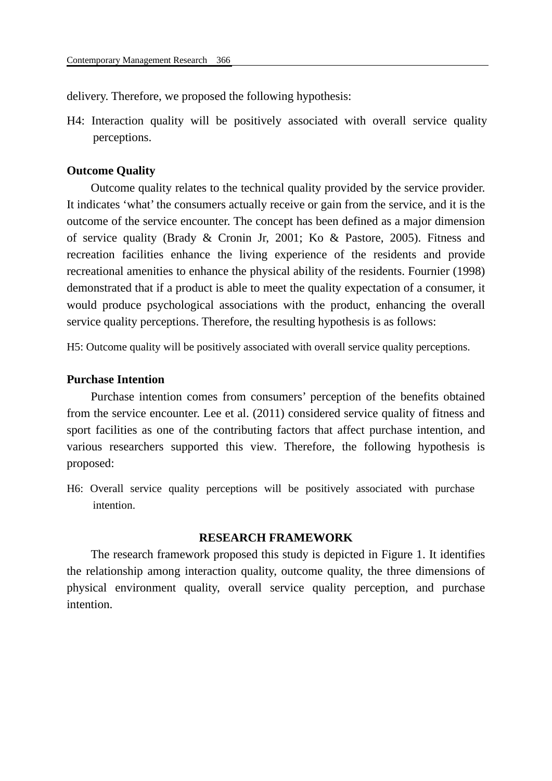delivery. Therefore, we proposed the following hypothesis:

H4: Interaction quality will be positively associated with overall service quality perceptions.

## **Outcome Quality**

Outcome quality relates to the technical quality provided by the service provider. It indicates 'what' the consumers actually receive or gain from the service, and it is the outcome of the service encounter. The concept has been defined as a major dimension of service quality (Brady & Cronin Jr, 2001; Ko & Pastore, 2005). Fitness and recreation facilities enhance the living experience of the residents and provide recreational amenities to enhance the physical ability of the residents. Fournier (1998) demonstrated that if a product is able to meet the quality expectation of a consumer, it would produce psychological associations with the product, enhancing the overall service quality perceptions. Therefore, the resulting hypothesis is as follows:

H5: Outcome quality will be positively associated with overall service quality perceptions.

### **Purchase Intention**

Purchase intention comes from consumers' perception of the benefits obtained from the service encounter. Lee et al. (2011) considered service quality of fitness and sport facilities as one of the contributing factors that affect purchase intention, and various researchers supported this view. Therefore, the following hypothesis is proposed:

H6: Overall service quality perceptions will be positively associated with purchase intention.

## **RESEARCH FRAMEWORK**

The research framework proposed this study is depicted in Figure 1. It identifies the relationship among interaction quality, outcome quality, the three dimensions of physical environment quality, overall service quality perception, and purchase intention.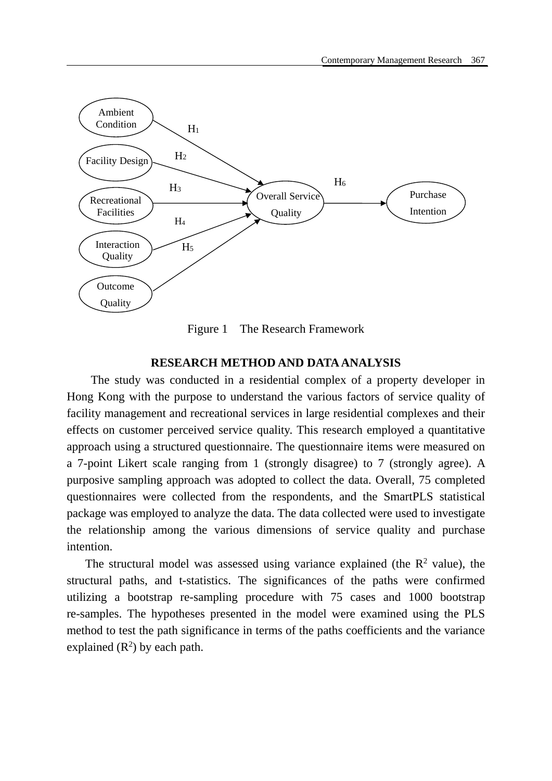

Figure 1 The Research Framework

#### **RESEARCH METHOD AND DATA ANALYSIS**

The study was conducted in a residential complex of a property developer in Hong Kong with the purpose to understand the various factors of service quality of facility management and recreational services in large residential complexes and their effects on customer perceived service quality. This research employed a quantitative approach using a structured questionnaire. The questionnaire items were measured on a 7-point Likert scale ranging from 1 (strongly disagree) to 7 (strongly agree). A purposive sampling approach was adopted to collect the data. Overall, 75 completed questionnaires were collected from the respondents, and the SmartPLS statistical package was employed to analyze the data. The data collected were used to investigate the relationship among the various dimensions of service quality and purchase intention.

The structural model was assessed using variance explained (the  $\mathbb{R}^2$  value), the structural paths, and t-statistics. The significances of the paths were confirmed utilizing a bootstrap re-sampling procedure with 75 cases and 1000 bootstrap re-samples. The hypotheses presented in the model were examined using the PLS method to test the path significance in terms of the paths coefficients and the variance explained  $(R^2)$  by each path.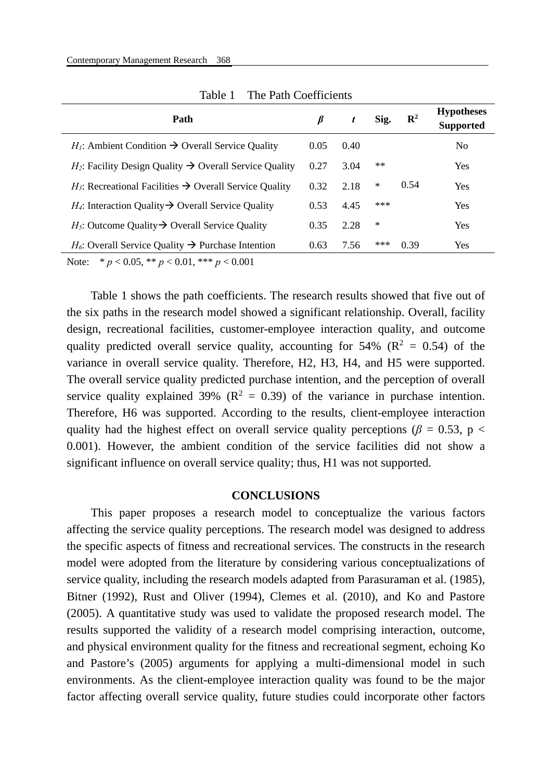| Path                                                                  | ß    | t    | Sig.  | $\mathbf{R}^2$ | <b>Hypotheses</b><br><b>Supported</b> |
|-----------------------------------------------------------------------|------|------|-------|----------------|---------------------------------------|
| $H_1$ : Ambient Condition $\rightarrow$ Overall Service Quality       | 0.05 | 0.40 |       |                | N <sub>0</sub>                        |
| $H_2$ : Facility Design Quality $\rightarrow$ Overall Service Quality | 0.27 | 3.04 | $***$ |                | Yes                                   |
| $H_3$ : Recreational Facilities $\rightarrow$ Overall Service Quality | 0.32 | 2.18 | ∗     | 0.54           | Yes                                   |
| $H_4$ : Interaction Quality $\rightarrow$ Overall Service Quality     | 0.53 | 4.45 | ***   |                | Yes                                   |
| $H_5$ : Outcome Quality $\rightarrow$ Overall Service Quality         | 0.35 | 2.28 | ∗     |                | Yes                                   |
| $H_6$ : Overall Service Quality $\rightarrow$ Purchase Intention      | 0.63 | 7.56 | ***   | 0.39           | Yes                                   |
|                                                                       |      |      |       |                |                                       |

Table 1 The Path Coefficients

Note: \* *p* < 0.05, \*\* *p* < 0.01, \*\*\* *p* < 0.001

Table 1 shows the path coefficients. The research results showed that five out of the six paths in the research model showed a significant relationship. Overall, facility design, recreational facilities, customer-employee interaction quality, and outcome quality predicted overall service quality, accounting for 54% ( $\mathbb{R}^2 = 0.54$ ) of the variance in overall service quality. Therefore, H2, H3, H4, and H5 were supported. The overall service quality predicted purchase intention, and the perception of overall service quality explained 39% ( $\mathbb{R}^2 = 0.39$ ) of the variance in purchase intention. Therefore, H6 was supported. According to the results, client-employee interaction quality had the highest effect on overall service quality perceptions ( $\beta$  = 0.53, p < 0.001). However, the ambient condition of the service facilities did not show a significant influence on overall service quality; thus, H1 was not supported.

#### **CONCLUSIONS**

This paper proposes a research model to conceptualize the various factors affecting the service quality perceptions. The research model was designed to address the specific aspects of fitness and recreational services. The constructs in the research model were adopted from the literature by considering various conceptualizations of service quality, including the research models adapted from Parasuraman et al. (1985), Bitner (1992), Rust and Oliver (1994), Clemes et al. (2010), and Ko and Pastore (2005). A quantitative study was used to validate the proposed research model. The results supported the validity of a research model comprising interaction, outcome, and physical environment quality for the fitness and recreational segment, echoing Ko and Pastore's (2005) arguments for applying a multi-dimensional model in such environments. As the client-employee interaction quality was found to be the major factor affecting overall service quality, future studies could incorporate other factors